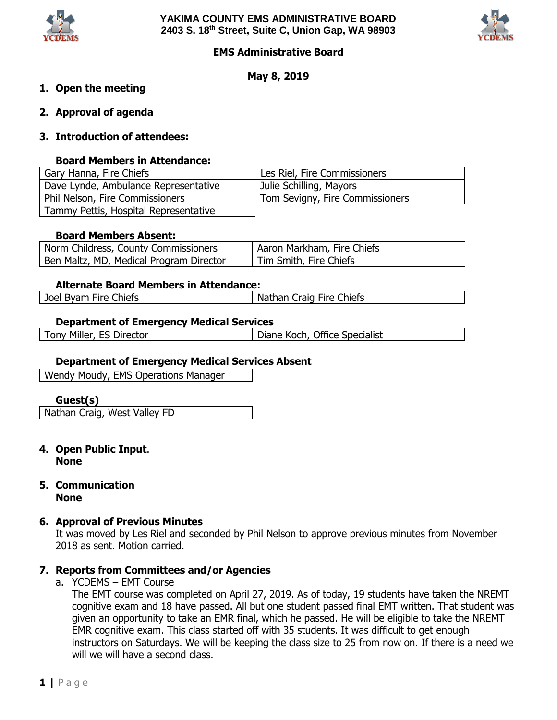



## **EMS Administrative Board**

## **May 8, 2019**

## **1. Open the meeting**

- **2. Approval of agenda**
- **3. Introduction of attendees:**

### **Board Members in Attendance:**

| Gary Hanna, Fire Chiefs               | Les Riel, Fire Commissioners    |  |  |
|---------------------------------------|---------------------------------|--|--|
| Dave Lynde, Ambulance Representative  | Julie Schilling, Mayors         |  |  |
| Phil Nelson, Fire Commissioners       | Tom Sevigny, Fire Commissioners |  |  |
| Tammy Pettis, Hospital Representative |                                 |  |  |

#### **Board Members Absent:**

| Norm Childress, County Commissioners    | Aaron Markham, Fire Chiefs |
|-----------------------------------------|----------------------------|
| Ben Maltz, MD, Medical Program Director | Tim Smith, Fire Chiefs     |

#### **Alternate Board Members in Attendance:**

| Craig Fire Chiefs<br><b>Byam Fire Chiefs</b><br>Joel<br>Nathan C |
|------------------------------------------------------------------|
|------------------------------------------------------------------|

#### **Department of Emergency Medical Services**

| Tony Miller, ES Director | Diane Koch, Office Specialist |  |
|--------------------------|-------------------------------|--|

### **Department of Emergency Medical Services Absent**

Wendy Moudy, EMS Operations Manager

#### **Guest(s)**

Nathan Craig, West Valley FD

- **4. Open Public Input**. **None**
- **5. Communication None**

#### **6. Approval of Previous Minutes**

It was moved by Les Riel and seconded by Phil Nelson to approve previous minutes from November 2018 as sent. Motion carried.

# **7. Reports from Committees and/or Agencies**

a. YCDEMS – EMT Course

The EMT course was completed on April 27, 2019. As of today, 19 students have taken the NREMT cognitive exam and 18 have passed. All but one student passed final EMT written. That student was given an opportunity to take an EMR final, which he passed. He will be eligible to take the NREMT EMR cognitive exam. This class started off with 35 students. It was difficult to get enough instructors on Saturdays. We will be keeping the class size to 25 from now on. If there is a need we will we will have a second class.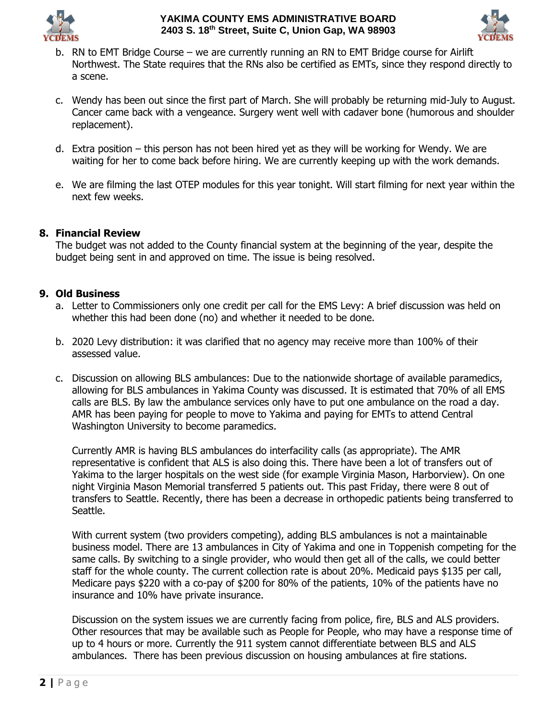



- b. RN to EMT Bridge Course we are currently running an RN to EMT Bridge course for Airlift Northwest. The State requires that the RNs also be certified as EMTs, since they respond directly to a scene.
- c. Wendy has been out since the first part of March. She will probably be returning mid-July to August. Cancer came back with a vengeance. Surgery went well with cadaver bone (humorous and shoulder replacement).
- d. Extra position this person has not been hired yet as they will be working for Wendy. We are waiting for her to come back before hiring. We are currently keeping up with the work demands.
- e. We are filming the last OTEP modules for this year tonight. Will start filming for next year within the next few weeks.

# **8. Financial Review**

The budget was not added to the County financial system at the beginning of the year, despite the budget being sent in and approved on time. The issue is being resolved.

## **9. Old Business**

- a. Letter to Commissioners only one credit per call for the EMS Levy: A brief discussion was held on whether this had been done (no) and whether it needed to be done.
- b. 2020 Levy distribution: it was clarified that no agency may receive more than 100% of their assessed value.
- c. Discussion on allowing BLS ambulances: Due to the nationwide shortage of available paramedics, allowing for BLS ambulances in Yakima County was discussed. It is estimated that 70% of all EMS calls are BLS. By law the ambulance services only have to put one ambulance on the road a day. AMR has been paying for people to move to Yakima and paying for EMTs to attend Central Washington University to become paramedics.

Currently AMR is having BLS ambulances do interfacility calls (as appropriate). The AMR representative is confident that ALS is also doing this. There have been a lot of transfers out of Yakima to the larger hospitals on the west side (for example Virginia Mason, Harborview). On one night Virginia Mason Memorial transferred 5 patients out. This past Friday, there were 8 out of transfers to Seattle. Recently, there has been a decrease in orthopedic patients being transferred to Seattle.

With current system (two providers competing), adding BLS ambulances is not a maintainable business model. There are 13 ambulances in City of Yakima and one in Toppenish competing for the same calls. By switching to a single provider, who would then get all of the calls, we could better staff for the whole county. The current collection rate is about 20%. Medicaid pays \$135 per call, Medicare pays \$220 with a co-pay of \$200 for 80% of the patients, 10% of the patients have no insurance and 10% have private insurance.

Discussion on the system issues we are currently facing from police, fire, BLS and ALS providers. Other resources that may be available such as People for People, who may have a response time of up to 4 hours or more. Currently the 911 system cannot differentiate between BLS and ALS ambulances. There has been previous discussion on housing ambulances at fire stations.